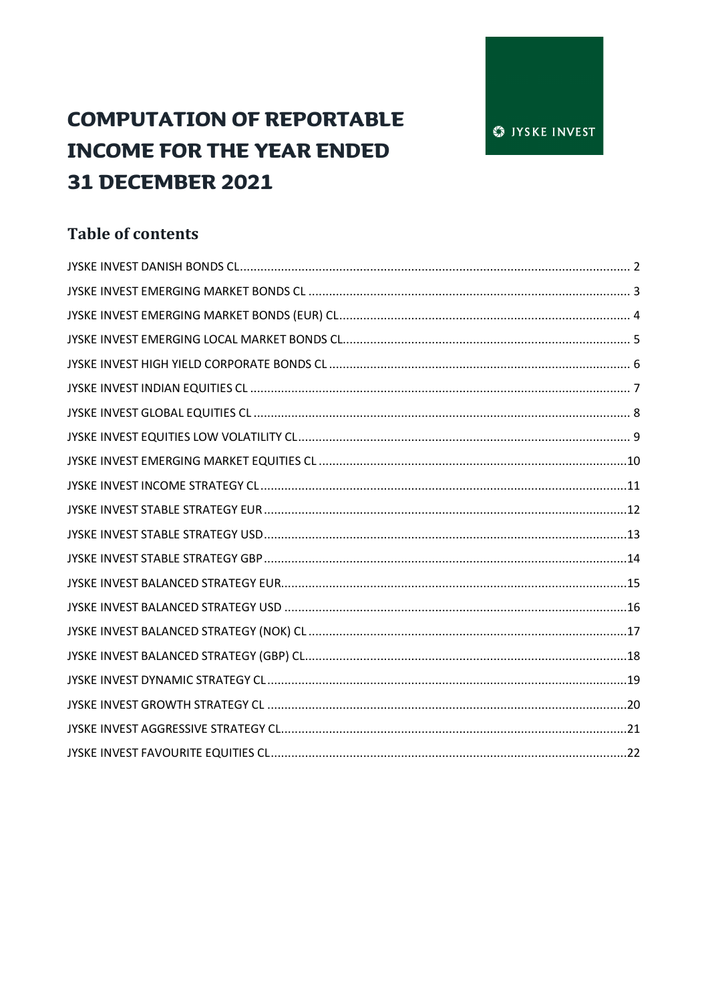# **COMPUTATION OF REPORTABLE INCOME FOR THE YEAR ENDED 31 DECEMBER 2021**

# **Table of contents**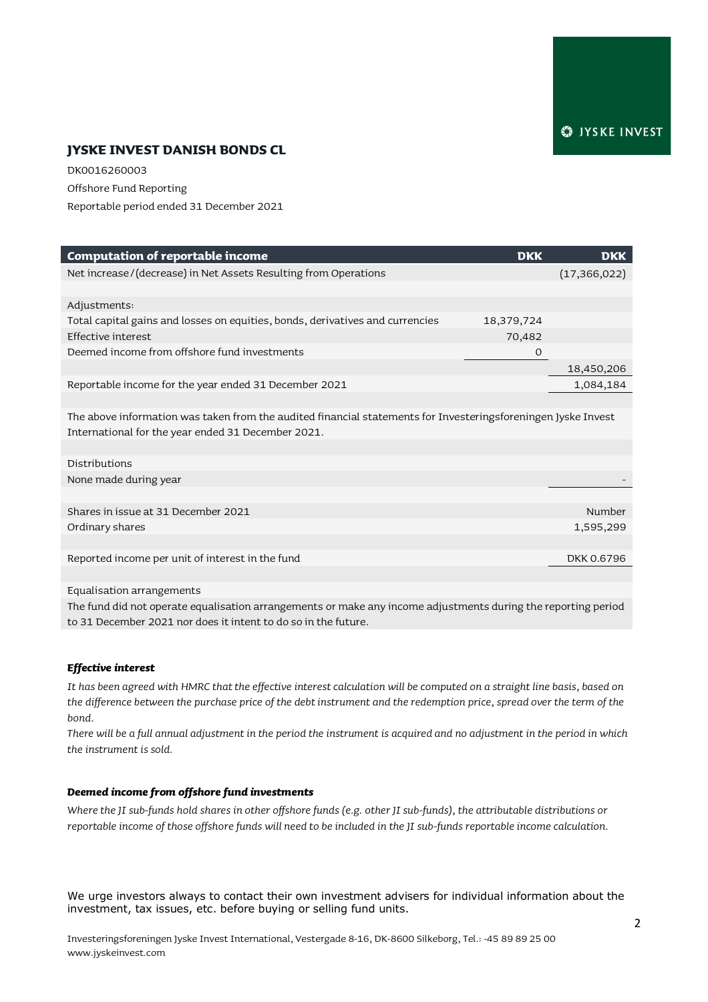### **JYSKE INVEST DANISH BONDS CL**

DK0016260003 Offshore Fund Reporting Reportable period ended 31 December 2021

| <b>Computation of reportable income</b>                                                                       | <b>DKK</b> | <b>DKK</b>     |
|---------------------------------------------------------------------------------------------------------------|------------|----------------|
| Net increase/(decrease) in Net Assets Resulting from Operations                                               |            | (17, 366, 022) |
|                                                                                                               |            |                |
| Adjustments:                                                                                                  |            |                |
| Total capital gains and losses on equities, bonds, derivatives and currencies                                 | 18,379,724 |                |
| Effective interest                                                                                            | 70,482     |                |
| Deemed income from offshore fund investments                                                                  | $\circ$    |                |
|                                                                                                               |            | 18,450,206     |
| Reportable income for the year ended 31 December 2021                                                         |            | 1,084,184      |
|                                                                                                               |            |                |
| The above information was taken from the audited financial statements for Investeringsforeningen Jyske Invest |            |                |
| International for the year ended 31 December 2021.                                                            |            |                |
|                                                                                                               |            |                |
| Distributions                                                                                                 |            |                |
| None made during year                                                                                         |            |                |
|                                                                                                               |            |                |
| Shares in issue at 31 December 2021                                                                           |            | Number         |
| Ordinary shares                                                                                               |            | 1,595,299      |
|                                                                                                               |            |                |
| Reported income per unit of interest in the fund                                                              |            | DKK 0.6796     |
|                                                                                                               |            |                |
| Equalisation arrangements                                                                                     |            |                |

The fund did not operate equalisation arrangements or make any income adjustments during the reporting period to 31 December 2021 nor does it intent to do so in the future.

#### *Effective interest*

*It has been agreed with HMRC that the effective interest calculation will be computed on a straight line basis, based on the difference between the purchase price of the debt instrument and the redemption price, spread over the term of the bond.*

*There will be a full annual adjustment in the period the instrument is acquired and no adjustment in the period in which the instrument is sold.* 

#### *Deemed income from offshore fund investments*

*Where the JI sub-funds hold shares in other offshore funds (e.g. other JI sub-funds), the attributable distributions or reportable income of those offshore funds will need to be included in the JI sub-funds reportable income calculation.*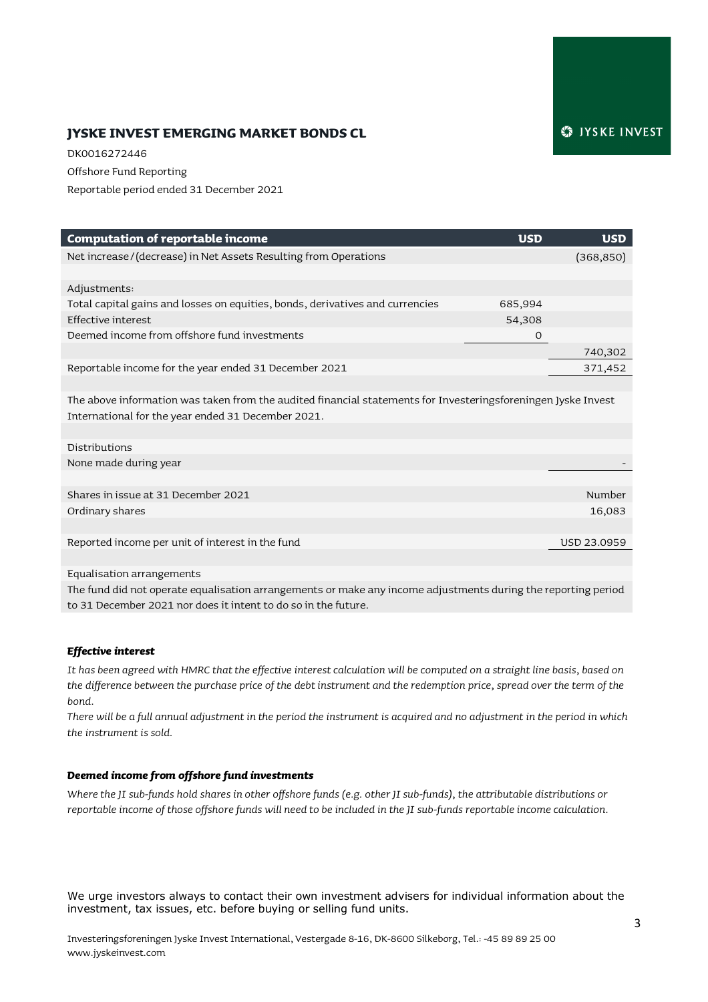# **JYSKE INVEST EMERGING MARKET BONDS CL**

DK0016272446 Offshore Fund Reporting Reportable period ended 31 December 2021

| <b>Computation of reportable income</b>                                                                       | <b>USD</b> | <b>USD</b>  |
|---------------------------------------------------------------------------------------------------------------|------------|-------------|
| Net increase/(decrease) in Net Assets Resulting from Operations                                               |            | (368, 850)  |
|                                                                                                               |            |             |
| Adjustments:                                                                                                  |            |             |
| Total capital gains and losses on equities, bonds, derivatives and currencies                                 | 685,994    |             |
| Effective interest                                                                                            | 54,308     |             |
| Deemed income from offshore fund investments                                                                  | O          |             |
|                                                                                                               |            | 740,302     |
| Reportable income for the year ended 31 December 2021                                                         |            | 371,452     |
|                                                                                                               |            |             |
| The above information was taken from the audited financial statements for Investeringsforeningen Jyske Invest |            |             |
| International for the year ended 31 December 2021.                                                            |            |             |
|                                                                                                               |            |             |
| Distributions                                                                                                 |            |             |
| None made during year                                                                                         |            |             |
|                                                                                                               |            |             |
| Shares in issue at 31 December 2021                                                                           |            | Number      |
| Ordinary shares                                                                                               |            | 16,083      |
|                                                                                                               |            |             |
| Reported income per unit of interest in the fund                                                              |            | USD 23.0959 |
|                                                                                                               |            |             |
|                                                                                                               |            |             |

Equalisation arrangements The fund did not operate equalisation arrangements or make any income adjustments during the reporting period to 31 December 2021 nor does it intent to do so in the future.

#### *Effective interest*

*It has been agreed with HMRC that the effective interest calculation will be computed on a straight line basis, based on the difference between the purchase price of the debt instrument and the redemption price, spread over the term of the bond.*

*There will be a full annual adjustment in the period the instrument is acquired and no adjustment in the period in which the instrument is sold.* 

#### *Deemed income from offshore fund investments*

*Where the JI sub-funds hold shares in other offshore funds (e.g. other JI sub-funds), the attributable distributions or reportable income of those offshore funds will need to be included in the JI sub-funds reportable income calculation.*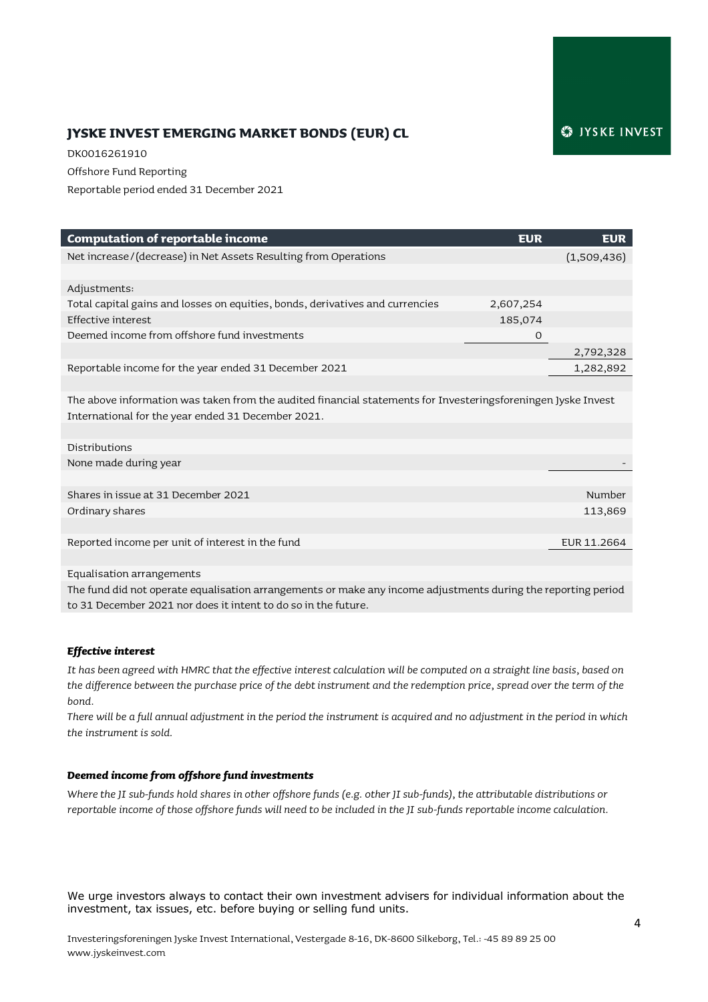# SIYSKE INVEST

# **JYSKE INVEST EMERGING MARKET BONDS (EUR) CL**

DK0016261910 Offshore Fund Reporting Reportable period ended 31 December 2021

| <b>Computation of reportable income</b>                                                                       | <b>EUR</b> | <b>EUR</b>  |
|---------------------------------------------------------------------------------------------------------------|------------|-------------|
| Net increase/(decrease) in Net Assets Resulting from Operations                                               |            | (1,509,436) |
|                                                                                                               |            |             |
| Adjustments:                                                                                                  |            |             |
| Total capital gains and losses on equities, bonds, derivatives and currencies                                 | 2,607,254  |             |
| Effective interest                                                                                            | 185,074    |             |
| Deemed income from offshore fund investments                                                                  | O          |             |
|                                                                                                               |            | 2,792,328   |
| Reportable income for the year ended 31 December 2021                                                         |            | 1,282,892   |
|                                                                                                               |            |             |
| The above information was taken from the audited financial statements for Investeringsforeningen Jyske Invest |            |             |
| International for the year ended 31 December 2021.                                                            |            |             |
|                                                                                                               |            |             |
| Distributions                                                                                                 |            |             |
| None made during year                                                                                         |            |             |
|                                                                                                               |            |             |
| Shares in issue at 31 December 2021                                                                           |            | Number      |
| Ordinary shares                                                                                               |            | 113,869     |
|                                                                                                               |            |             |
| Reported income per unit of interest in the fund                                                              |            | EUR 11.2664 |
|                                                                                                               |            |             |

Equalisation arrangements

The fund did not operate equalisation arrangements or make any income adjustments during the reporting period to 31 December 2021 nor does it intent to do so in the future.

#### *Effective interest*

*It has been agreed with HMRC that the effective interest calculation will be computed on a straight line basis, based on the difference between the purchase price of the debt instrument and the redemption price, spread over the term of the bond.*

*There will be a full annual adjustment in the period the instrument is acquired and no adjustment in the period in which the instrument is sold.* 

#### *Deemed income from offshore fund investments*

*Where the JI sub-funds hold shares in other offshore funds (e.g. other JI sub-funds), the attributable distributions or reportable income of those offshore funds will need to be included in the JI sub-funds reportable income calculation.*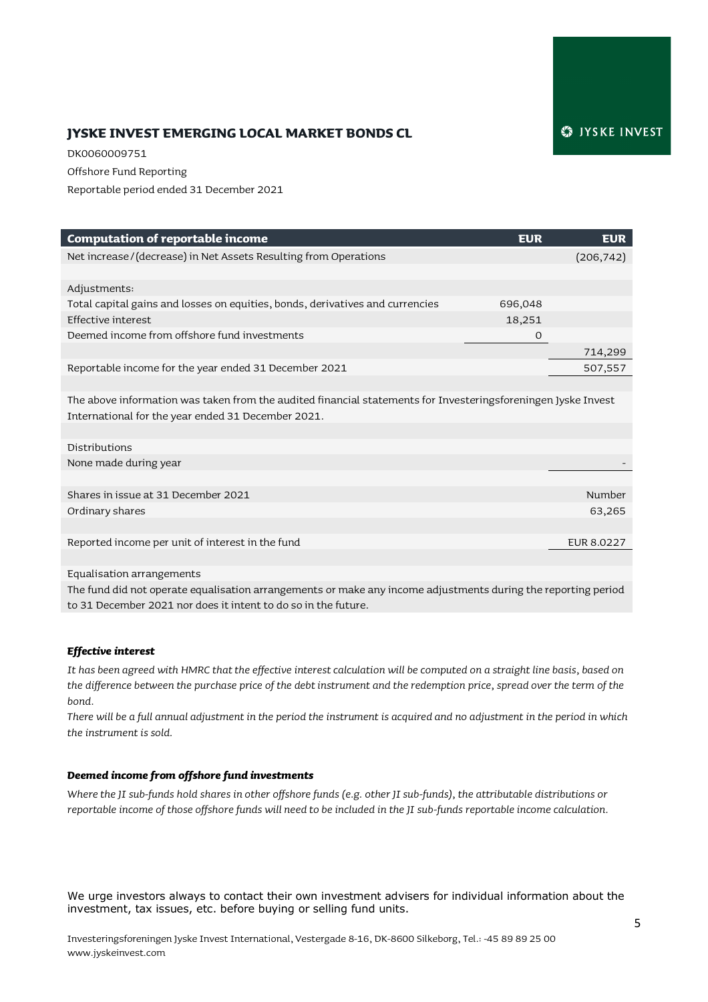# **JYSKE INVEST EMERGING LOCAL MARKET BONDS CL**

DK0060009751 Offshore Fund Reporting Reportable period ended 31 December 2021

| <b>Computation of reportable income</b>                                                                       | <b>EUR</b>  | <b>EUR</b>        |
|---------------------------------------------------------------------------------------------------------------|-------------|-------------------|
| Net increase/(decrease) in Net Assets Resulting from Operations                                               |             | (206, 742)        |
|                                                                                                               |             |                   |
| Adjustments:                                                                                                  |             |                   |
| Total capital gains and losses on equities, bonds, derivatives and currencies                                 | 696,048     |                   |
| Effective interest                                                                                            | 18,251      |                   |
| Deemed income from offshore fund investments                                                                  | $\mathbf 0$ |                   |
|                                                                                                               |             | 714,299           |
| Reportable income for the year ended 31 December 2021                                                         |             | 507,557           |
|                                                                                                               |             |                   |
| The above information was taken from the audited financial statements for Investeringsforeningen Jyske Invest |             |                   |
| International for the year ended 31 December 2021.                                                            |             |                   |
|                                                                                                               |             |                   |
| Distributions                                                                                                 |             |                   |
| None made during year                                                                                         |             |                   |
|                                                                                                               |             |                   |
| Shares in issue at 31 December 2021                                                                           |             | Number            |
| Ordinary shares                                                                                               |             | 63,265            |
|                                                                                                               |             |                   |
| Reported income per unit of interest in the fund                                                              |             | <b>EUR 8.0227</b> |
|                                                                                                               |             |                   |
| $\cdots$                                                                                                      |             |                   |

Equalisation arrangements

The fund did not operate equalisation arrangements or make any income adjustments during the reporting period to 31 December 2021 nor does it intent to do so in the future.

#### *Effective interest*

*It has been agreed with HMRC that the effective interest calculation will be computed on a straight line basis, based on the difference between the purchase price of the debt instrument and the redemption price, spread over the term of the bond.*

*There will be a full annual adjustment in the period the instrument is acquired and no adjustment in the period in which the instrument is sold.* 

#### *Deemed income from offshore fund investments*

*Where the JI sub-funds hold shares in other offshore funds (e.g. other JI sub-funds), the attributable distributions or reportable income of those offshore funds will need to be included in the JI sub-funds reportable income calculation.*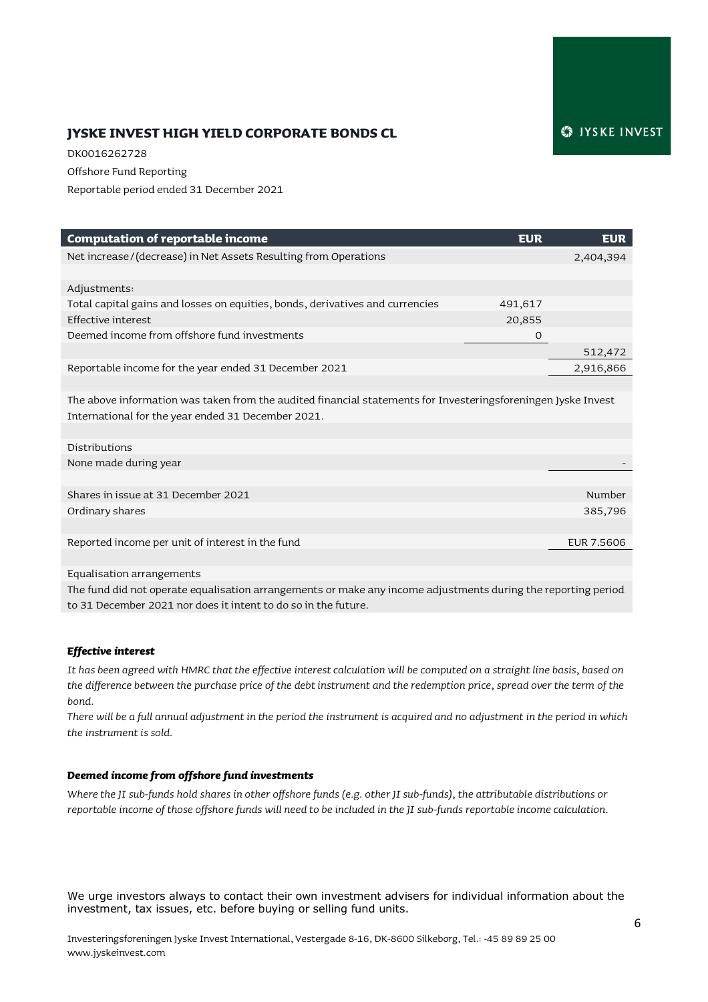# **JYSKE INVEST HIGH YIELD CORPORATE BONDS CL**

DK0016262728 Offshore Fund Reporting Reportable period ended 31 December 2021

| <b>Computation of reportable income</b>                                                                       | <b>EUR</b> | <b>EUR</b>        |
|---------------------------------------------------------------------------------------------------------------|------------|-------------------|
| Net increase/(decrease) in Net Assets Resulting from Operations                                               |            | 2,404,394         |
|                                                                                                               |            |                   |
| Adjustments:                                                                                                  |            |                   |
| Total capital gains and losses on equities, bonds, derivatives and currencies                                 | 491,617    |                   |
| Effective interest                                                                                            | 20,855     |                   |
| Deemed income from offshore fund investments                                                                  | 0          |                   |
|                                                                                                               |            | 512,472           |
| Reportable income for the year ended 31 December 2021                                                         |            | 2,916,866         |
|                                                                                                               |            |                   |
| The above information was taken from the audited financial statements for Investeringsforeningen Jyske Invest |            |                   |
| International for the year ended 31 December 2021.                                                            |            |                   |
|                                                                                                               |            |                   |
| Distributions                                                                                                 |            |                   |
| None made during year                                                                                         |            |                   |
|                                                                                                               |            |                   |
| Shares in issue at 31 December 2021                                                                           |            | Number            |
| Ordinary shares                                                                                               |            | 385,796           |
|                                                                                                               |            |                   |
| Reported income per unit of interest in the fund                                                              |            | <b>EUR 7.5606</b> |
|                                                                                                               |            |                   |

Equalisation arrangements

The fund did not operate equalisation arrangements or make any income adjustments during the reporting period to 31 December 2021 nor does it intent to do so in the future.

#### *Effective interest*

*It has been agreed with HMRC that the effective interest calculation will be computed on a straight line basis, based on the difference between the purchase price of the debt instrument and the redemption price, spread over the term of the bond.*

*There will be a full annual adjustment in the period the instrument is acquired and no adjustment in the period in which the instrument is sold.* 

#### *Deemed income from offshore fund investments*

*Where the JI sub-funds hold shares in other offshore funds (e.g. other JI sub-funds), the attributable distributions or reportable income of those offshore funds will need to be included in the JI sub-funds reportable income calculation.*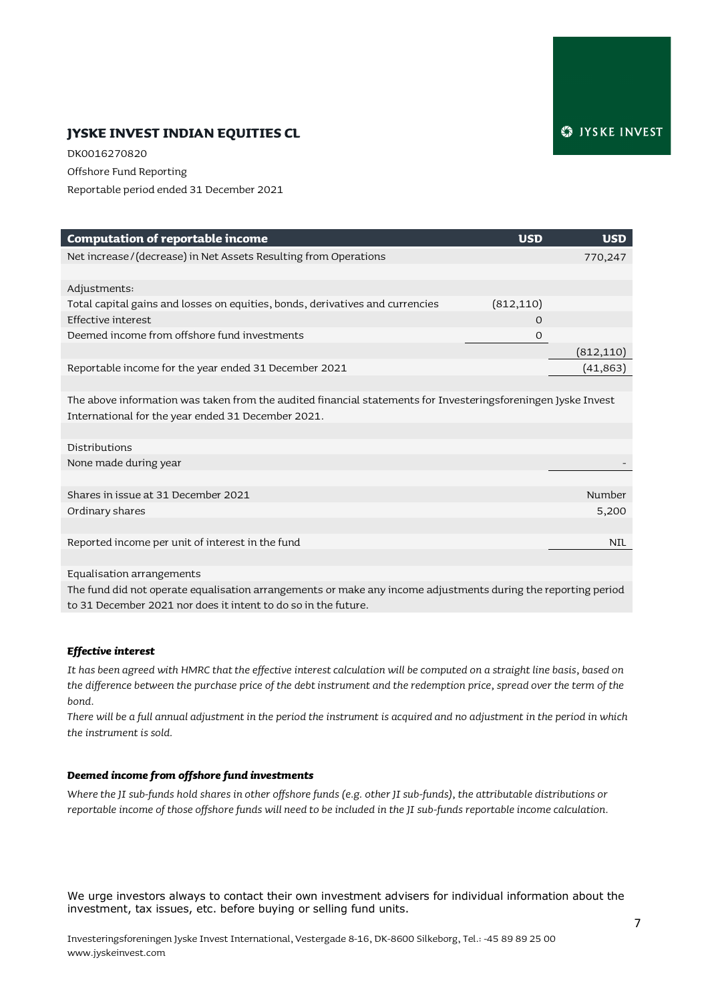# **JYSKE INVEST INDIAN EQUITIES CL**

DK0016270820 Offshore Fund Reporting Reportable period ended 31 December 2021

| <b>Computation of reportable income</b>                                                                       | <b>USD</b> | <b>USD</b> |
|---------------------------------------------------------------------------------------------------------------|------------|------------|
| Net increase/(decrease) in Net Assets Resulting from Operations                                               |            | 770,247    |
|                                                                                                               |            |            |
| Adjustments:                                                                                                  |            |            |
| Total capital gains and losses on equities, bonds, derivatives and currencies                                 | (812, 110) |            |
| Effective interest                                                                                            | $\Omega$   |            |
| Deemed income from offshore fund investments                                                                  | $\Omega$   |            |
|                                                                                                               |            | (812,110)  |
| Reportable income for the year ended 31 December 2021                                                         |            | (41, 863)  |
|                                                                                                               |            |            |
| The above information was taken from the audited financial statements for Investeringsforeningen Jyske Invest |            |            |
| International for the year ended 31 December 2021.                                                            |            |            |
|                                                                                                               |            |            |
| Distributions                                                                                                 |            |            |
| None made during year                                                                                         |            |            |
|                                                                                                               |            |            |
| Shares in issue at 31 December 2021                                                                           |            | Number     |
| Ordinary shares                                                                                               |            | 5,200      |
|                                                                                                               |            |            |
| Reported income per unit of interest in the fund                                                              |            | <b>NIL</b> |
|                                                                                                               |            |            |
| Equalisation arrangements                                                                                     |            |            |

The fund did not operate equalisation arrangements or make any income adjustments during the reporting period to 31 December 2021 nor does it intent to do so in the future.

#### *Effective interest*

*It has been agreed with HMRC that the effective interest calculation will be computed on a straight line basis, based on the difference between the purchase price of the debt instrument and the redemption price, spread over the term of the bond.*

*There will be a full annual adjustment in the period the instrument is acquired and no adjustment in the period in which the instrument is sold.* 

#### *Deemed income from offshore fund investments*

*Where the JI sub-funds hold shares in other offshore funds (e.g. other JI sub-funds), the attributable distributions or reportable income of those offshore funds will need to be included in the JI sub-funds reportable income calculation.*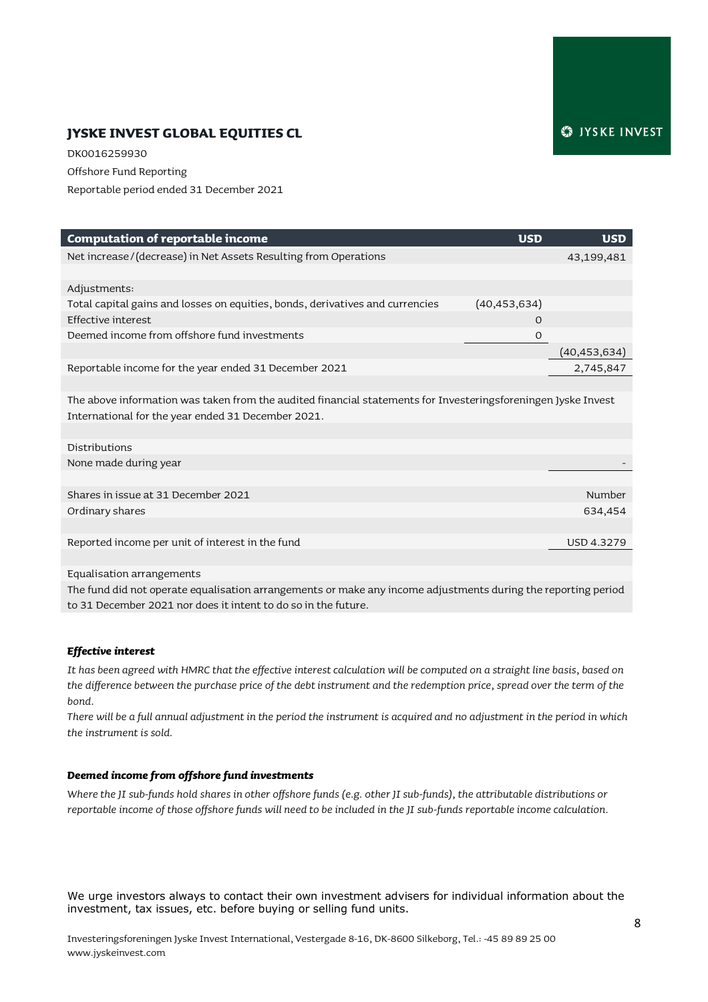# **JYSKE INVEST GLOBAL EQUITIES CL**

DK0016259930 Offshore Fund Reporting Reportable period ended 31 December 2021

| <b>Computation of reportable income</b>                                                                       | <b>USD</b>     | <b>USD</b>        |
|---------------------------------------------------------------------------------------------------------------|----------------|-------------------|
| Net increase/(decrease) in Net Assets Resulting from Operations                                               |                | 43,199,481        |
|                                                                                                               |                |                   |
| Adjustments:                                                                                                  |                |                   |
| Total capital gains and losses on equities, bonds, derivatives and currencies                                 | (40, 453, 634) |                   |
| Effective interest                                                                                            | $\Omega$       |                   |
| Deemed income from offshore fund investments                                                                  | $\circ$        |                   |
|                                                                                                               |                | (40,453,634)      |
| Reportable income for the year ended 31 December 2021                                                         |                | 2,745,847         |
|                                                                                                               |                |                   |
| The above information was taken from the audited financial statements for Investeringsforeningen Jyske Invest |                |                   |
| International for the year ended 31 December 2021.                                                            |                |                   |
|                                                                                                               |                |                   |
| Distributions                                                                                                 |                |                   |
| None made during year                                                                                         |                |                   |
|                                                                                                               |                |                   |
| Shares in issue at 31 December 2021                                                                           |                | Number            |
| Ordinary shares                                                                                               |                | 634,454           |
|                                                                                                               |                |                   |
| Reported income per unit of interest in the fund                                                              |                | <b>USD 4.3279</b> |
|                                                                                                               |                |                   |
| Equalisation arrangements                                                                                     |                |                   |

The fund did not operate equalisation arrangements or make any income adjustments during the reporting period to 31 December 2021 nor does it intent to do so in the future.

#### *Effective interest*

*It has been agreed with HMRC that the effective interest calculation will be computed on a straight line basis, based on the difference between the purchase price of the debt instrument and the redemption price, spread over the term of the bond.*

*There will be a full annual adjustment in the period the instrument is acquired and no adjustment in the period in which the instrument is sold.* 

#### *Deemed income from offshore fund investments*

*Where the JI sub-funds hold shares in other offshore funds (e.g. other JI sub-funds), the attributable distributions or reportable income of those offshore funds will need to be included in the JI sub-funds reportable income calculation.*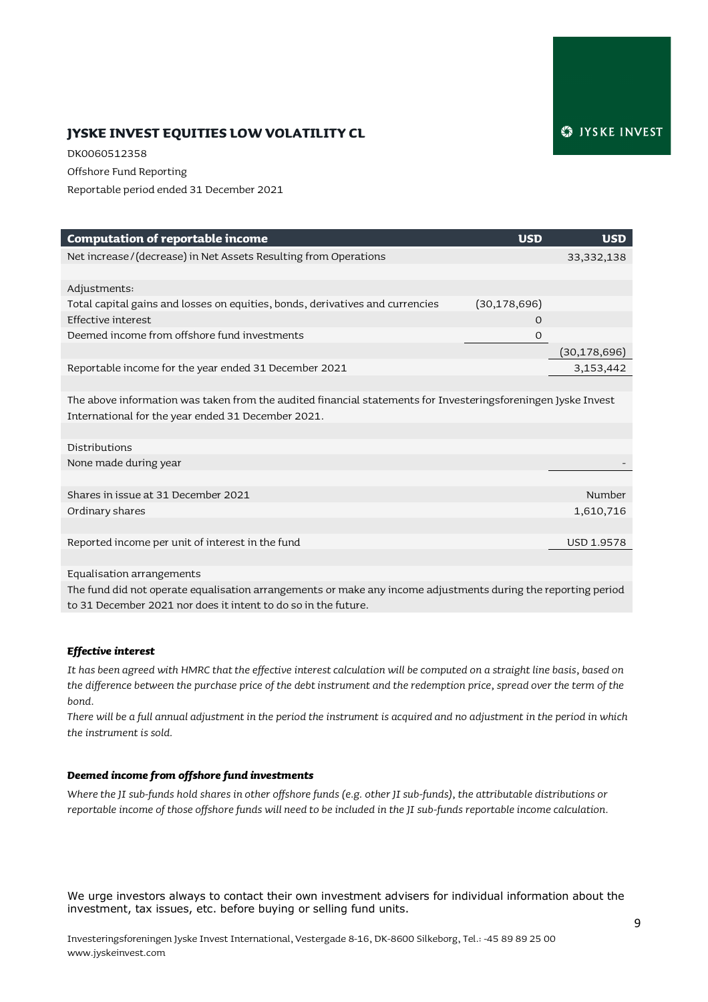# **JYSKE INVEST EQUITIES LOW VOLATILITY CL**

DK0060512358 Offshore Fund Reporting Reportable period ended 31 December 2021

| <b>Computation of reportable income</b>                                                                       | <b>USD</b>     | <b>USD</b>     |
|---------------------------------------------------------------------------------------------------------------|----------------|----------------|
| Net increase/(decrease) in Net Assets Resulting from Operations                                               |                | 33, 332, 138   |
|                                                                                                               |                |                |
| Adjustments:                                                                                                  |                |                |
| Total capital gains and losses on equities, bonds, derivatives and currencies                                 | (30, 178, 696) |                |
| Effective interest                                                                                            | $\Omega$       |                |
| Deemed income from offshore fund investments                                                                  | $\mathbf{O}$   |                |
|                                                                                                               |                | (30, 178, 696) |
| Reportable income for the year ended 31 December 2021                                                         |                | 3,153,442      |
|                                                                                                               |                |                |
| The above information was taken from the audited financial statements for Investeringsforeningen Jyske Invest |                |                |
| International for the year ended 31 December 2021.                                                            |                |                |
|                                                                                                               |                |                |
| Distributions                                                                                                 |                |                |
| None made during year                                                                                         |                |                |
|                                                                                                               |                |                |
| Shares in issue at 31 December 2021                                                                           |                | Number         |
| Ordinary shares                                                                                               |                | 1,610,716      |
|                                                                                                               |                |                |
| Reported income per unit of interest in the fund                                                              |                | USD 1.9578     |
|                                                                                                               |                |                |
| Equalisation arrangements                                                                                     |                |                |

The fund did not operate equalisation arrangements or make any income adjustments during the reporting period to 31 December 2021 nor does it intent to do so in the future.

#### *Effective interest*

*It has been agreed with HMRC that the effective interest calculation will be computed on a straight line basis, based on the difference between the purchase price of the debt instrument and the redemption price, spread over the term of the bond.*

*There will be a full annual adjustment in the period the instrument is acquired and no adjustment in the period in which the instrument is sold.* 

#### *Deemed income from offshore fund investments*

*Where the JI sub-funds hold shares in other offshore funds (e.g. other JI sub-funds), the attributable distributions or reportable income of those offshore funds will need to be included in the JI sub-funds reportable income calculation.*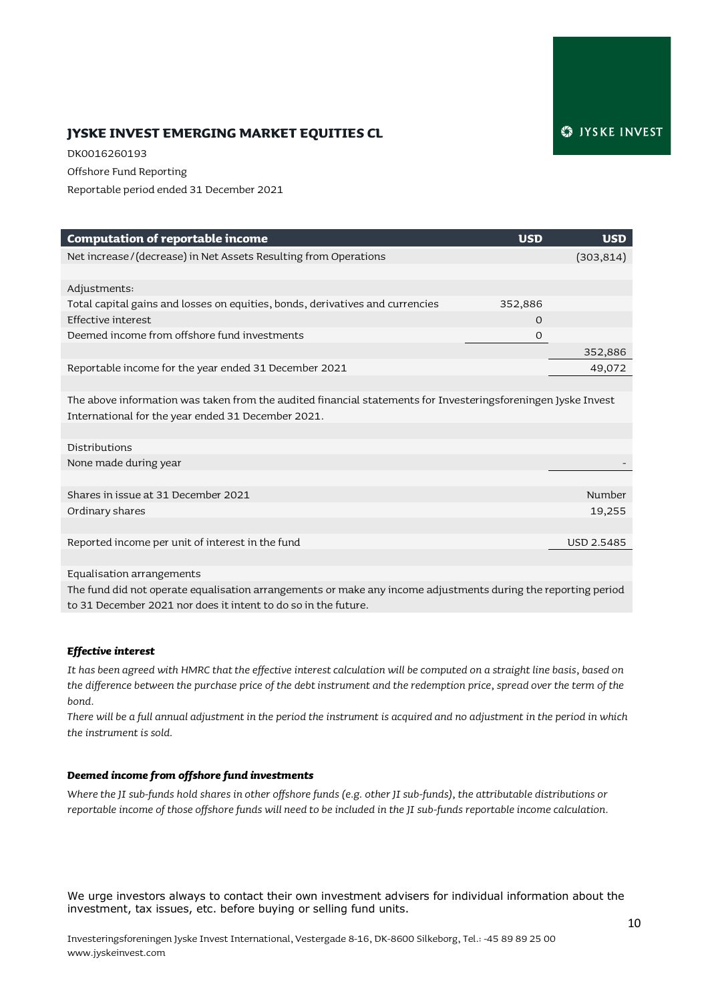# **JYSKE INVEST EMERGING MARKET EQUITIES CL**

DK0016260193 Offshore Fund Reporting Reportable period ended 31 December 2021

| <b>Computation of reportable income</b>                                                                       | <b>USD</b> | <b>USD</b>        |
|---------------------------------------------------------------------------------------------------------------|------------|-------------------|
| Net increase/(decrease) in Net Assets Resulting from Operations                                               |            | (303, 814)        |
|                                                                                                               |            |                   |
| Adjustments:                                                                                                  |            |                   |
| Total capital gains and losses on equities, bonds, derivatives and currencies                                 | 352,886    |                   |
| Effective interest                                                                                            | $\Omega$   |                   |
| Deemed income from offshore fund investments                                                                  | O          |                   |
|                                                                                                               |            | 352,886           |
| Reportable income for the year ended 31 December 2021                                                         |            | 49,072            |
|                                                                                                               |            |                   |
| The above information was taken from the audited financial statements for Investeringsforeningen Jyske Invest |            |                   |
| International for the year ended 31 December 2021.                                                            |            |                   |
|                                                                                                               |            |                   |
| Distributions                                                                                                 |            |                   |
| None made during year                                                                                         |            |                   |
|                                                                                                               |            |                   |
| Shares in issue at 31 December 2021                                                                           |            | Number            |
| Ordinary shares                                                                                               |            | 19,255            |
|                                                                                                               |            |                   |
| Reported income per unit of interest in the fund                                                              |            | <b>USD 2.5485</b> |
|                                                                                                               |            |                   |

Equalisation arrangements

The fund did not operate equalisation arrangements or make any income adjustments during the reporting period to 31 December 2021 nor does it intent to do so in the future.

#### *Effective interest*

*It has been agreed with HMRC that the effective interest calculation will be computed on a straight line basis, based on the difference between the purchase price of the debt instrument and the redemption price, spread over the term of the bond.*

*There will be a full annual adjustment in the period the instrument is acquired and no adjustment in the period in which the instrument is sold.* 

#### *Deemed income from offshore fund investments*

*Where the JI sub-funds hold shares in other offshore funds (e.g. other JI sub-funds), the attributable distributions or reportable income of those offshore funds will need to be included in the JI sub-funds reportable income calculation.*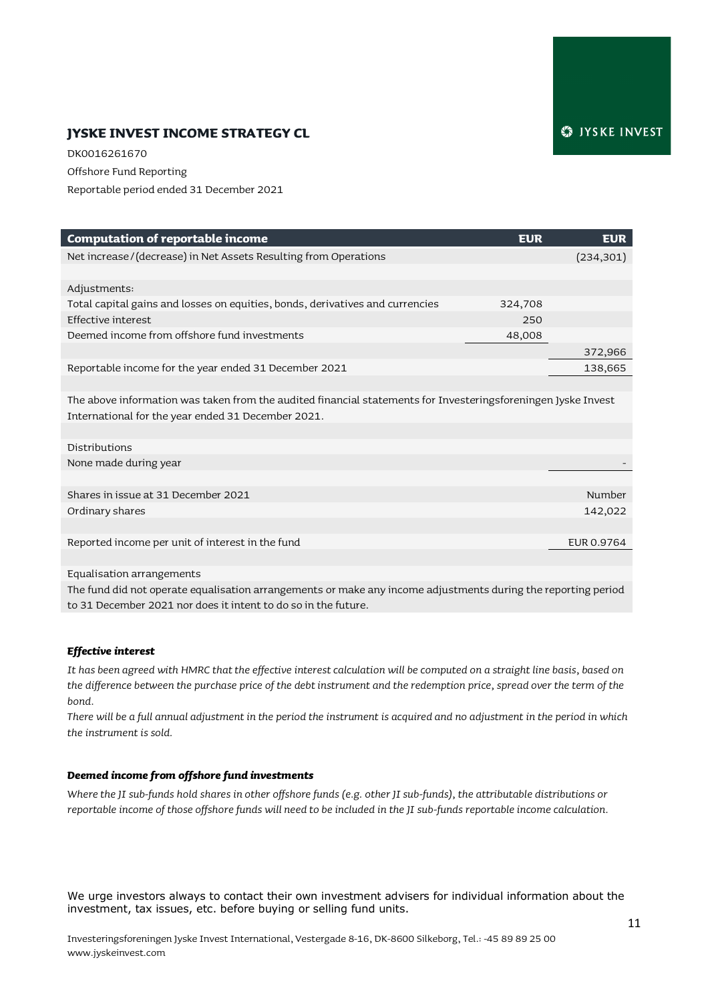# **JYSKE INVEST INCOME STRATEGY CL**

DK0016261670 Offshore Fund Reporting Reportable period ended 31 December 2021

| <b>Computation of reportable income</b>                                                                                                                             | <b>EUR</b> | <b>EUR</b> |
|---------------------------------------------------------------------------------------------------------------------------------------------------------------------|------------|------------|
| Net increase/(decrease) in Net Assets Resulting from Operations                                                                                                     |            | (234, 301) |
| Adjustments:                                                                                                                                                        |            |            |
| Total capital gains and losses on equities, bonds, derivatives and currencies                                                                                       | 324,708    |            |
| Effective interest                                                                                                                                                  | 250        |            |
| Deemed income from offshore fund investments                                                                                                                        | 48,008     |            |
|                                                                                                                                                                     |            | 372,966    |
| Reportable income for the year ended 31 December 2021                                                                                                               |            | 138,665    |
|                                                                                                                                                                     |            |            |
| The above information was taken from the audited financial statements for Investeringsforeningen Jyske Invest<br>International for the year ended 31 December 2021. |            |            |
|                                                                                                                                                                     |            |            |
| Distributions                                                                                                                                                       |            |            |
| None made during year                                                                                                                                               |            |            |
|                                                                                                                                                                     |            |            |
| Shares in issue at 31 December 2021                                                                                                                                 |            | Number     |
| Ordinary shares                                                                                                                                                     |            | 142,022    |
|                                                                                                                                                                     |            |            |
| Reported income per unit of interest in the fund                                                                                                                    |            | EUR 0.9764 |
|                                                                                                                                                                     |            |            |
| Equalisation arrangements                                                                                                                                           |            |            |
|                                                                                                                                                                     |            |            |

The fund did not operate equalisation arrangements or make any income adjustments during the reporting period to 31 December 2021 nor does it intent to do so in the future.

#### *Effective interest*

*It has been agreed with HMRC that the effective interest calculation will be computed on a straight line basis, based on the difference between the purchase price of the debt instrument and the redemption price, spread over the term of the bond.*

*There will be a full annual adjustment in the period the instrument is acquired and no adjustment in the period in which the instrument is sold.* 

#### *Deemed income from offshore fund investments*

*Where the JI sub-funds hold shares in other offshore funds (e.g. other JI sub-funds), the attributable distributions or reportable income of those offshore funds will need to be included in the JI sub-funds reportable income calculation.*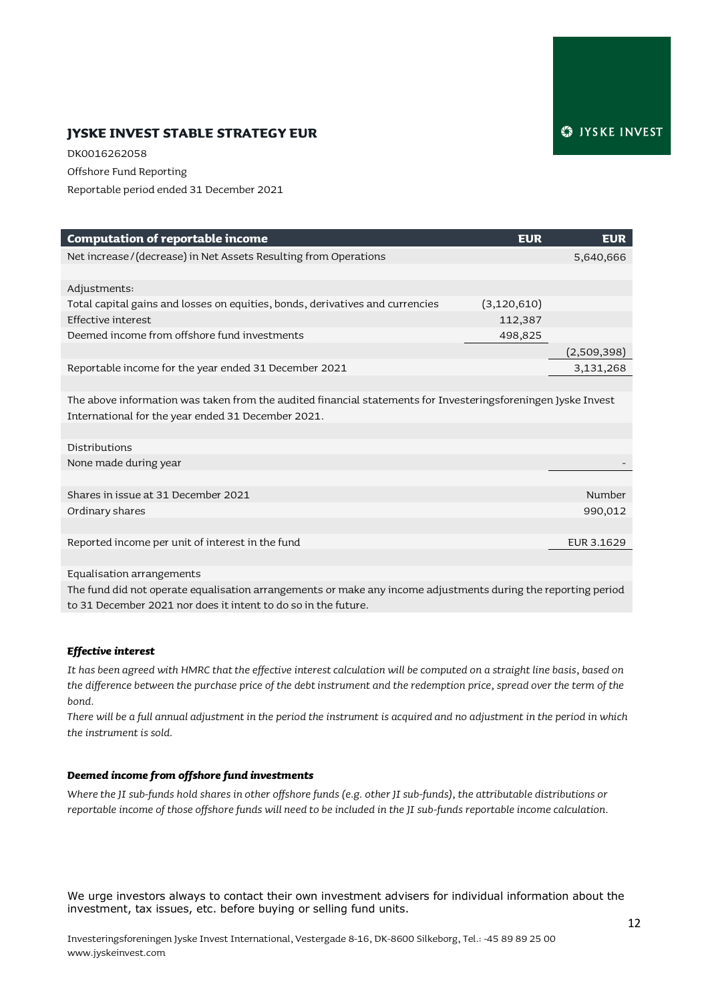# **JYSKE INVEST STABLE STRATEGY EUR**

DK0016262058 Offshore Fund Reporting Reportable period ended 31 December 2021

| <b>Computation of reportable income</b>                                                                       | <b>EUR</b><br><b>EUR</b> |
|---------------------------------------------------------------------------------------------------------------|--------------------------|
| Net increase/(decrease) in Net Assets Resulting from Operations                                               | 5,640,666                |
| Adjustments:                                                                                                  |                          |
| Total capital gains and losses on equities, bonds, derivatives and currencies<br>(3, 120, 610)                |                          |
| Effective interest<br>112,387                                                                                 |                          |
| Deemed income from offshore fund investments<br>498,825                                                       |                          |
|                                                                                                               | (2,509,398)              |
| Reportable income for the year ended 31 December 2021                                                         | 3,131,268                |
|                                                                                                               |                          |
| The above information was taken from the audited financial statements for Investeringsforeningen Jyske Invest |                          |
| International for the year ended 31 December 2021.                                                            |                          |
|                                                                                                               |                          |
| Distributions                                                                                                 |                          |
| None made during year                                                                                         |                          |
|                                                                                                               |                          |
| Shares in issue at 31 December 2021                                                                           | Number                   |
| Ordinary shares                                                                                               | 990,012                  |
|                                                                                                               |                          |
| Reported income per unit of interest in the fund                                                              | EUR 3.1629               |
|                                                                                                               |                          |
| Equalisation arrangements                                                                                     |                          |

The fund did not operate equalisation arrangements or make any income adjustments during the reporting period to 31 December 2021 nor does it intent to do so in the future.

#### *Effective interest*

*It has been agreed with HMRC that the effective interest calculation will be computed on a straight line basis, based on the difference between the purchase price of the debt instrument and the redemption price, spread over the term of the bond.*

*There will be a full annual adjustment in the period the instrument is acquired and no adjustment in the period in which the instrument is sold.* 

#### *Deemed income from offshore fund investments*

*Where the JI sub-funds hold shares in other offshore funds (e.g. other JI sub-funds), the attributable distributions or reportable income of those offshore funds will need to be included in the JI sub-funds reportable income calculation.*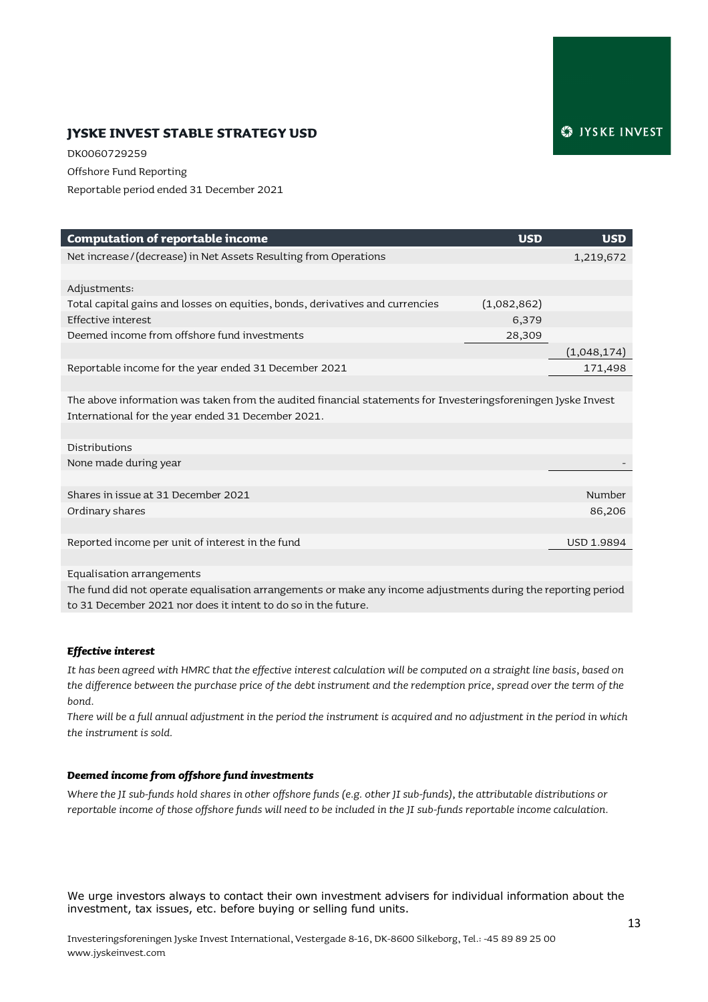# **JYSKE INVEST STABLE STRATEGY USD**

DK0060729259 Offshore Fund Reporting Reportable period ended 31 December 2021

| <b>Computation of reportable income</b>                                                                       | <b>USD</b>  | <b>USD</b>        |
|---------------------------------------------------------------------------------------------------------------|-------------|-------------------|
| Net increase/(decrease) in Net Assets Resulting from Operations                                               |             | 1,219,672         |
|                                                                                                               |             |                   |
| Adjustments:                                                                                                  |             |                   |
| Total capital gains and losses on equities, bonds, derivatives and currencies                                 | (1,082,862) |                   |
| <b>Effective interest</b>                                                                                     | 6,379       |                   |
| Deemed income from offshore fund investments                                                                  | 28,309      |                   |
|                                                                                                               |             | (1,048,174)       |
| Reportable income for the year ended 31 December 2021                                                         |             | 171,498           |
|                                                                                                               |             |                   |
| The above information was taken from the audited financial statements for Investeringsforeningen Jyske Invest |             |                   |
| International for the year ended 31 December 2021.                                                            |             |                   |
|                                                                                                               |             |                   |
| Distributions                                                                                                 |             |                   |
| None made during year                                                                                         |             |                   |
|                                                                                                               |             |                   |
| Shares in issue at 31 December 2021                                                                           |             | Number            |
| Ordinary shares                                                                                               |             | 86,206            |
|                                                                                                               |             |                   |
| Reported income per unit of interest in the fund                                                              |             | <b>USD 1.9894</b> |
|                                                                                                               |             |                   |
| Equalisation arrangements                                                                                     |             |                   |

The fund did not operate equalisation arrangements or make any income adjustments during the reporting period to 31 December 2021 nor does it intent to do so in the future.

#### *Effective interest*

*It has been agreed with HMRC that the effective interest calculation will be computed on a straight line basis, based on the difference between the purchase price of the debt instrument and the redemption price, spread over the term of the bond.*

*There will be a full annual adjustment in the period the instrument is acquired and no adjustment in the period in which the instrument is sold.* 

#### *Deemed income from offshore fund investments*

*Where the JI sub-funds hold shares in other offshore funds (e.g. other JI sub-funds), the attributable distributions or reportable income of those offshore funds will need to be included in the JI sub-funds reportable income calculation.*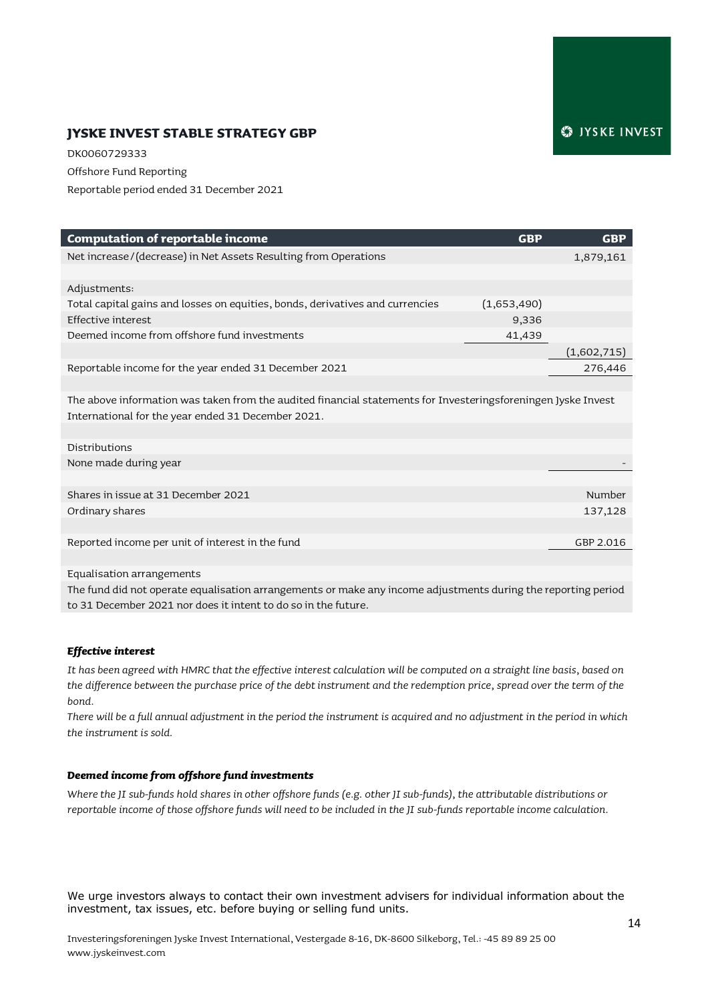# **JYSKE INVEST STABLE STRATEGY GBP**

DK0060729333 Offshore Fund Reporting Reportable period ended 31 December 2021

| <b>Computation of reportable income</b>                                                                       | <b>GBP</b>  | <b>GBP</b>  |
|---------------------------------------------------------------------------------------------------------------|-------------|-------------|
| Net increase/(decrease) in Net Assets Resulting from Operations                                               |             | 1,879,161   |
|                                                                                                               |             |             |
| Adjustments:                                                                                                  |             |             |
| Total capital gains and losses on equities, bonds, derivatives and currencies                                 | (1,653,490) |             |
| Effective interest                                                                                            | 9,336       |             |
| Deemed income from offshore fund investments                                                                  | 41,439      |             |
|                                                                                                               |             | (1,602,715) |
| Reportable income for the year ended 31 December 2021                                                         |             | 276,446     |
|                                                                                                               |             |             |
| The above information was taken from the audited financial statements for Investeringsforeningen Jyske Invest |             |             |
| International for the year ended 31 December 2021.                                                            |             |             |
|                                                                                                               |             |             |
| Distributions                                                                                                 |             |             |
| None made during year                                                                                         |             |             |
|                                                                                                               |             |             |
| Shares in issue at 31 December 2021                                                                           |             | Number      |
| Ordinary shares                                                                                               |             | 137,128     |
|                                                                                                               |             |             |
| Reported income per unit of interest in the fund                                                              |             | GBP 2.016   |
|                                                                                                               |             |             |
| Equalisation arrangements                                                                                     |             |             |

The fund did not operate equalisation arrangements or make any income adjustments during the reporting period to 31 December 2021 nor does it intent to do so in the future.

#### *Effective interest*

*It has been agreed with HMRC that the effective interest calculation will be computed on a straight line basis, based on the difference between the purchase price of the debt instrument and the redemption price, spread over the term of the bond.*

*There will be a full annual adjustment in the period the instrument is acquired and no adjustment in the period in which the instrument is sold.* 

#### *Deemed income from offshore fund investments*

*Where the JI sub-funds hold shares in other offshore funds (e.g. other JI sub-funds), the attributable distributions or reportable income of those offshore funds will need to be included in the JI sub-funds reportable income calculation.*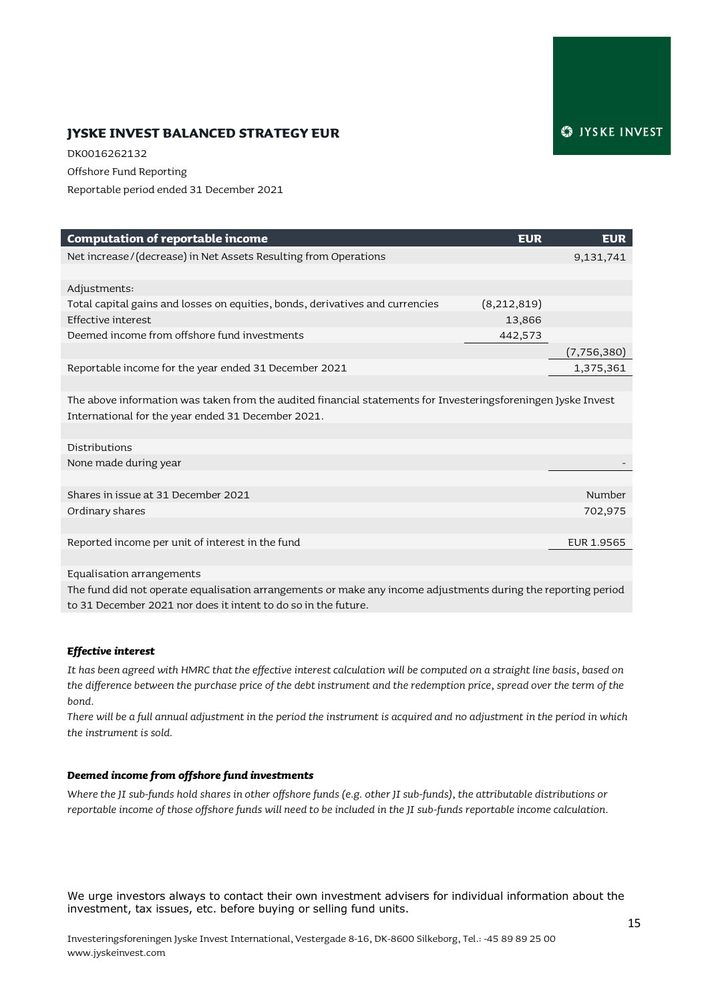# **JYSKE INVEST BALANCED STRATEGY EUR**

DK0016262132 Offshore Fund Reporting Reportable period ended 31 December 2021

| <b>Computation of reportable income</b>                                                                       | <b>EUR</b>  | <b>EUR</b>    |
|---------------------------------------------------------------------------------------------------------------|-------------|---------------|
| Net increase/(decrease) in Net Assets Resulting from Operations                                               |             | 9,131,741     |
|                                                                                                               |             |               |
| Adjustments:                                                                                                  |             |               |
| Total capital gains and losses on equities, bonds, derivatives and currencies                                 | (8,212,819) |               |
| Effective interest                                                                                            | 13,866      |               |
| Deemed income from offshore fund investments                                                                  | 442,573     |               |
|                                                                                                               |             | (7, 756, 380) |
| Reportable income for the year ended 31 December 2021                                                         |             | 1,375,361     |
|                                                                                                               |             |               |
| The above information was taken from the audited financial statements for Investeringsforeningen Jyske Invest |             |               |
| International for the year ended 31 December 2021.                                                            |             |               |
|                                                                                                               |             |               |
| Distributions                                                                                                 |             |               |
| None made during year                                                                                         |             |               |
|                                                                                                               |             |               |
| Shares in issue at 31 December 2021                                                                           |             | Number        |
| Ordinary shares                                                                                               |             | 702,975       |
|                                                                                                               |             |               |
| Reported income per unit of interest in the fund                                                              |             | EUR 1.9565    |
|                                                                                                               |             |               |
| Equalisation arrangements                                                                                     |             |               |

The fund did not operate equalisation arrangements or make any income adjustments during the reporting period to 31 December 2021 nor does it intent to do so in the future.

#### *Effective interest*

*It has been agreed with HMRC that the effective interest calculation will be computed on a straight line basis, based on the difference between the purchase price of the debt instrument and the redemption price, spread over the term of the bond.*

*There will be a full annual adjustment in the period the instrument is acquired and no adjustment in the period in which the instrument is sold.* 

#### *Deemed income from offshore fund investments*

*Where the JI sub-funds hold shares in other offshore funds (e.g. other JI sub-funds), the attributable distributions or reportable income of those offshore funds will need to be included in the JI sub-funds reportable income calculation.*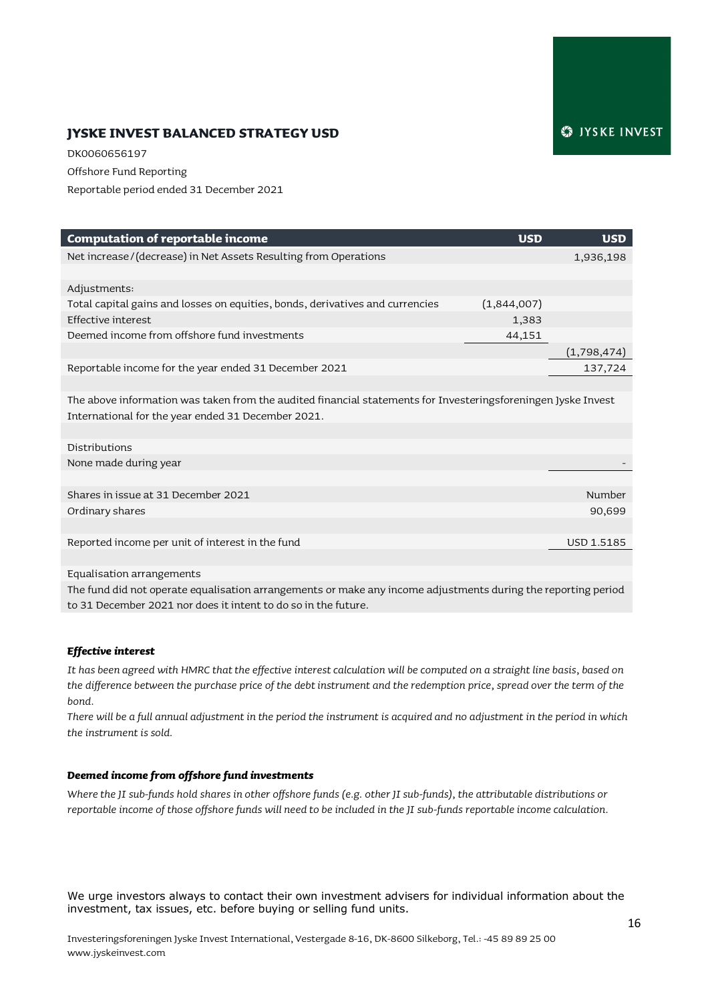# **JYSKE INVEST BALANCED STRATEGY USD**

DK0060656197 Offshore Fund Reporting Reportable period ended 31 December 2021

| <b>Computation of reportable income</b>                                                                       | <b>USD</b>  | <b>USD</b>        |
|---------------------------------------------------------------------------------------------------------------|-------------|-------------------|
| Net increase/(decrease) in Net Assets Resulting from Operations                                               |             | 1,936,198         |
|                                                                                                               |             |                   |
| Adjustments:                                                                                                  |             |                   |
| Total capital gains and losses on equities, bonds, derivatives and currencies                                 | (1,844,007) |                   |
| Effective interest                                                                                            | 1,383       |                   |
| Deemed income from offshore fund investments                                                                  | 44,151      |                   |
|                                                                                                               |             | (1,798,474)       |
| Reportable income for the year ended 31 December 2021                                                         |             | 137,724           |
|                                                                                                               |             |                   |
| The above information was taken from the audited financial statements for Investeringsforeningen Jyske Invest |             |                   |
| International for the year ended 31 December 2021.                                                            |             |                   |
|                                                                                                               |             |                   |
| Distributions                                                                                                 |             |                   |
| None made during year                                                                                         |             |                   |
|                                                                                                               |             |                   |
| Shares in issue at 31 December 2021                                                                           |             | Number            |
| Ordinary shares                                                                                               |             | 90,699            |
|                                                                                                               |             |                   |
| Reported income per unit of interest in the fund                                                              |             | <b>USD 1.5185</b> |
|                                                                                                               |             |                   |
| Equalisation arrangements                                                                                     |             |                   |

The fund did not operate equalisation arrangements or make any income adjustments during the reporting period to 31 December 2021 nor does it intent to do so in the future.

#### *Effective interest*

*It has been agreed with HMRC that the effective interest calculation will be computed on a straight line basis, based on the difference between the purchase price of the debt instrument and the redemption price, spread over the term of the bond.*

*There will be a full annual adjustment in the period the instrument is acquired and no adjustment in the period in which the instrument is sold.* 

#### *Deemed income from offshore fund investments*

*Where the JI sub-funds hold shares in other offshore funds (e.g. other JI sub-funds), the attributable distributions or reportable income of those offshore funds will need to be included in the JI sub-funds reportable income calculation.*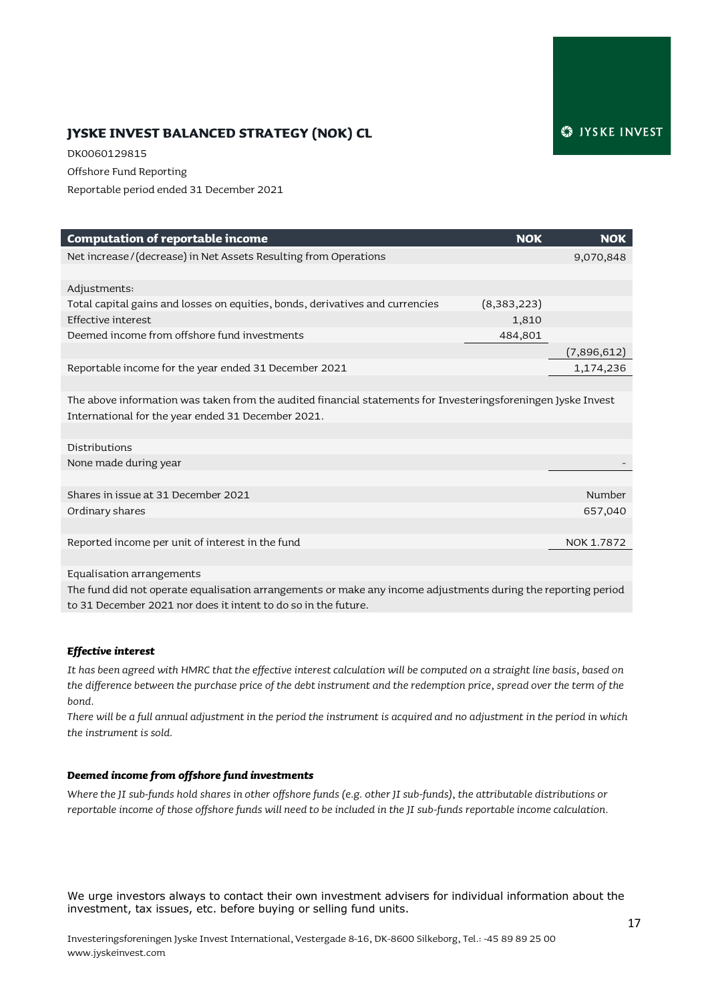# **JYSKE INVEST BALANCED STRATEGY (NOK) CL**

DK0060129815 Offshore Fund Reporting Reportable period ended 31 December 2021

| <b>Computation of reportable income</b>                                                                       | <b>NOK</b>  | <b>NOK</b>  |
|---------------------------------------------------------------------------------------------------------------|-------------|-------------|
| Net increase/(decrease) in Net Assets Resulting from Operations                                               |             | 9,070,848   |
|                                                                                                               |             |             |
| Adjustments:                                                                                                  |             |             |
| Total capital gains and losses on equities, bonds, derivatives and currencies                                 | (8,383,223) |             |
| Effective interest                                                                                            | 1,810       |             |
| Deemed income from offshore fund investments                                                                  | 484,801     |             |
|                                                                                                               |             | (7,896,612) |
| Reportable income for the year ended 31 December 2021                                                         |             | 1,174,236   |
|                                                                                                               |             |             |
| The above information was taken from the audited financial statements for Investeringsforeningen Jyske Invest |             |             |
| International for the year ended 31 December 2021.                                                            |             |             |
|                                                                                                               |             |             |
| Distributions                                                                                                 |             |             |
| None made during year                                                                                         |             |             |
|                                                                                                               |             |             |
| Shares in issue at 31 December 2021                                                                           |             | Number      |
| Ordinary shares                                                                                               |             | 657,040     |
|                                                                                                               |             |             |
| Reported income per unit of interest in the fund                                                              |             | NOK 1.7872  |
|                                                                                                               |             |             |
| Equalisation arrangements                                                                                     |             |             |

The fund did not operate equalisation arrangements or make any income adjustments during the reporting period to 31 December 2021 nor does it intent to do so in the future.

#### *Effective interest*

*It has been agreed with HMRC that the effective interest calculation will be computed on a straight line basis, based on the difference between the purchase price of the debt instrument and the redemption price, spread over the term of the bond.*

*There will be a full annual adjustment in the period the instrument is acquired and no adjustment in the period in which the instrument is sold.* 

#### *Deemed income from offshore fund investments*

*Where the JI sub-funds hold shares in other offshore funds (e.g. other JI sub-funds), the attributable distributions or reportable income of those offshore funds will need to be included in the JI sub-funds reportable income calculation.*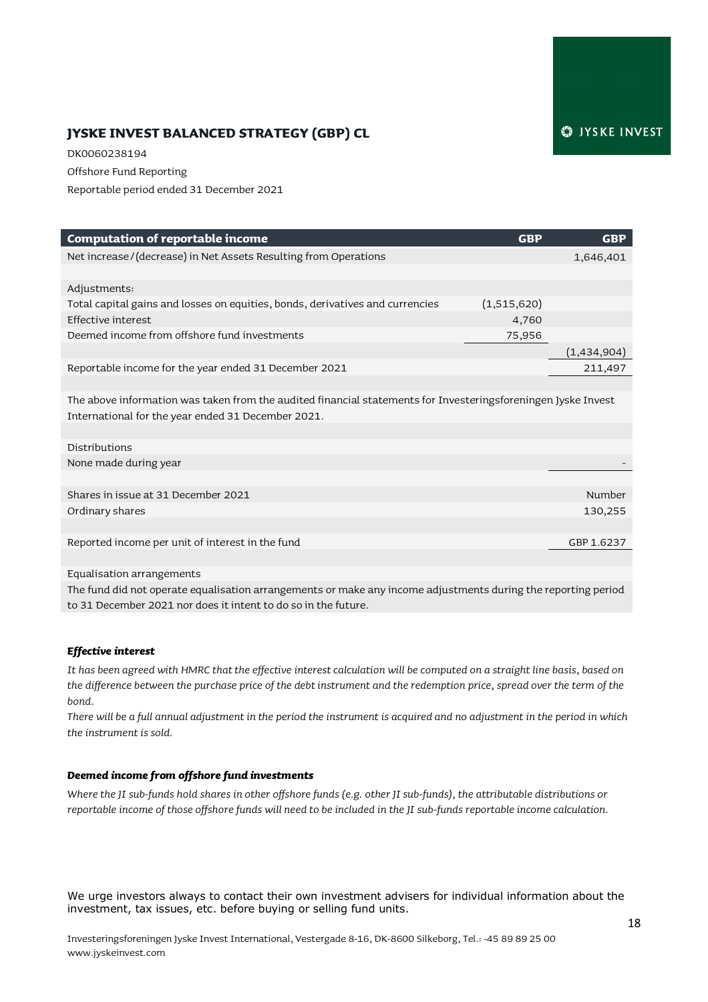# **JYSKE INVEST BALANCED STRATEGY (GBP) CL**

DK0060238194 Offshore Fund Reporting Reportable period ended 31 December 2021

| <b>Computation of reportable income</b>                                                                       | <b>GBP</b>  | <b>GBP</b>  |
|---------------------------------------------------------------------------------------------------------------|-------------|-------------|
| Net increase/(decrease) in Net Assets Resulting from Operations                                               |             | 1,646,401   |
|                                                                                                               |             |             |
| Adjustments:                                                                                                  |             |             |
| Total capital gains and losses on equities, bonds, derivatives and currencies                                 | (1,515,620) |             |
| Effective interest                                                                                            | 4,760       |             |
| Deemed income from offshore fund investments                                                                  | 75,956      |             |
|                                                                                                               |             | (1,434,904) |
| Reportable income for the year ended 31 December 2021                                                         |             | 211,497     |
|                                                                                                               |             |             |
| The above information was taken from the audited financial statements for Investeringsforeningen Jyske Invest |             |             |
| International for the year ended 31 December 2021.                                                            |             |             |
|                                                                                                               |             |             |
| Distributions                                                                                                 |             |             |
| None made during year                                                                                         |             |             |
|                                                                                                               |             |             |
| Shares in issue at 31 December 2021                                                                           |             | Number      |
| Ordinary shares                                                                                               |             | 130,255     |
|                                                                                                               |             |             |
| Reported income per unit of interest in the fund                                                              |             | GBP 1.6237  |
|                                                                                                               |             |             |
| Equalisation arrangements                                                                                     |             |             |

The fund did not operate equalisation arrangements or make any income adjustments during the reporting period to 31 December 2021 nor does it intent to do so in the future.

#### *Effective interest*

*It has been agreed with HMRC that the effective interest calculation will be computed on a straight line basis, based on the difference between the purchase price of the debt instrument and the redemption price, spread over the term of the bond.*

*There will be a full annual adjustment in the period the instrument is acquired and no adjustment in the period in which the instrument is sold.* 

#### *Deemed income from offshore fund investments*

*Where the JI sub-funds hold shares in other offshore funds (e.g. other JI sub-funds), the attributable distributions or reportable income of those offshore funds will need to be included in the JI sub-funds reportable income calculation.*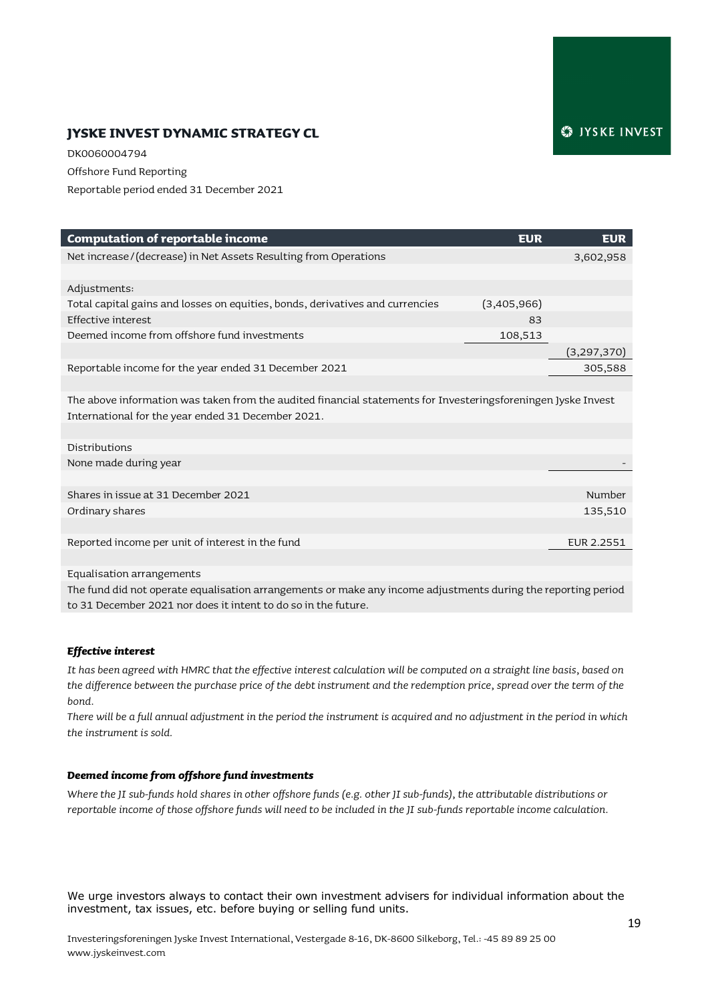# **JYSKE INVEST DYNAMIC STRATEGY CL**

DK0060004794 Offshore Fund Reporting Reportable period ended 31 December 2021

| <b>Computation of reportable income</b>                                                                       | <b>EUR</b>  | <b>EUR</b>  |
|---------------------------------------------------------------------------------------------------------------|-------------|-------------|
| Net increase / (decrease) in Net Assets Resulting from Operations                                             |             | 3,602,958   |
|                                                                                                               |             |             |
| Adjustments:                                                                                                  |             |             |
| Total capital gains and losses on equities, bonds, derivatives and currencies                                 | (3,405,966) |             |
| Effective interest                                                                                            | 83          |             |
| Deemed income from offshore fund investments                                                                  | 108,513     |             |
|                                                                                                               |             | (3,297,370) |
| Reportable income for the year ended 31 December 2021                                                         |             | 305,588     |
|                                                                                                               |             |             |
| The above information was taken from the audited financial statements for Investeringsforeningen Jyske Invest |             |             |
| International for the year ended 31 December 2021.                                                            |             |             |
|                                                                                                               |             |             |
| Distributions                                                                                                 |             |             |
| None made during year                                                                                         |             |             |
|                                                                                                               |             |             |
| Shares in issue at 31 December 2021                                                                           |             | Number      |
| Ordinary shares                                                                                               |             | 135,510     |
|                                                                                                               |             |             |
| Reported income per unit of interest in the fund                                                              |             | EUR 2.2551  |
|                                                                                                               |             |             |
| Equalisation arrangements                                                                                     |             |             |

The fund did not operate equalisation arrangements or make any income adjustments during the reporting period to 31 December 2021 nor does it intent to do so in the future.

#### *Effective interest*

*It has been agreed with HMRC that the effective interest calculation will be computed on a straight line basis, based on the difference between the purchase price of the debt instrument and the redemption price, spread over the term of the bond.*

*There will be a full annual adjustment in the period the instrument is acquired and no adjustment in the period in which the instrument is sold.* 

#### *Deemed income from offshore fund investments*

*Where the JI sub-funds hold shares in other offshore funds (e.g. other JI sub-funds), the attributable distributions or reportable income of those offshore funds will need to be included in the JI sub-funds reportable income calculation.*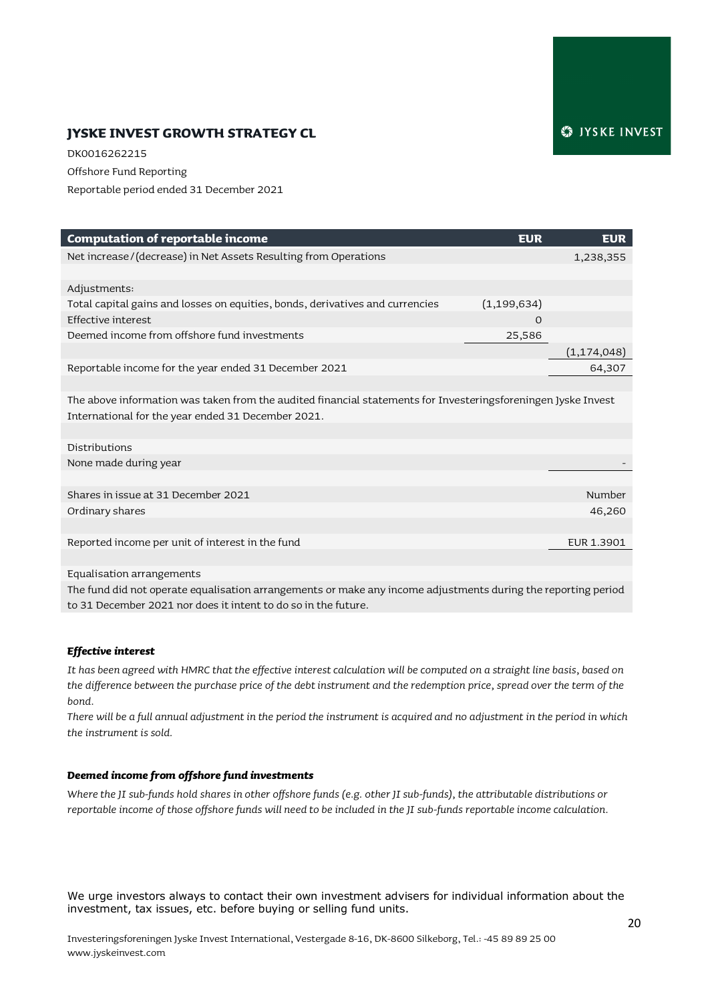# **JYSKE INVEST GROWTH STRATEGY CL**

DK0016262215 Offshore Fund Reporting Reportable period ended 31 December 2021

| <b>Computation of reportable income</b>                                                                       | <b>EUR</b>                                                                                                      | <b>EUR</b>    |
|---------------------------------------------------------------------------------------------------------------|-----------------------------------------------------------------------------------------------------------------|---------------|
| Net increase/(decrease) in Net Assets Resulting from Operations                                               |                                                                                                                 | 1,238,355     |
|                                                                                                               |                                                                                                                 |               |
| Adjustments:                                                                                                  |                                                                                                                 |               |
| Total capital gains and losses on equities, bonds, derivatives and currencies                                 | (1, 199, 634)                                                                                                   |               |
| Effective interest                                                                                            | $\mathbf{O}$                                                                                                    |               |
| Deemed income from offshore fund investments                                                                  | 25,586                                                                                                          |               |
|                                                                                                               |                                                                                                                 | (1, 174, 048) |
| Reportable income for the year ended 31 December 2021                                                         |                                                                                                                 | 64,307        |
|                                                                                                               |                                                                                                                 |               |
| The above information was taken from the audited financial statements for Investeringsforeningen Jyske Invest |                                                                                                                 |               |
| International for the year ended 31 December 2021.                                                            |                                                                                                                 |               |
|                                                                                                               |                                                                                                                 |               |
| Distributions                                                                                                 |                                                                                                                 |               |
| None made during year                                                                                         |                                                                                                                 |               |
|                                                                                                               |                                                                                                                 |               |
| Shares in issue at 31 December 2021                                                                           |                                                                                                                 | Number        |
| Ordinary shares                                                                                               |                                                                                                                 | 46,260        |
|                                                                                                               |                                                                                                                 |               |
| Reported income per unit of interest in the fund                                                              |                                                                                                                 | EUR 1.3901    |
|                                                                                                               |                                                                                                                 |               |
| Equalisation arrangements                                                                                     |                                                                                                                 |               |
|                                                                                                               | the contract of the contract of the contract of the contract of the contract of the contract of the contract of |               |

The fund did not operate equalisation arrangements or make any income adjustments during the reporting period to 31 December 2021 nor does it intent to do so in the future.

#### *Effective interest*

*It has been agreed with HMRC that the effective interest calculation will be computed on a straight line basis, based on the difference between the purchase price of the debt instrument and the redemption price, spread over the term of the bond.*

*There will be a full annual adjustment in the period the instrument is acquired and no adjustment in the period in which the instrument is sold.* 

#### *Deemed income from offshore fund investments*

*Where the JI sub-funds hold shares in other offshore funds (e.g. other JI sub-funds), the attributable distributions or reportable income of those offshore funds will need to be included in the JI sub-funds reportable income calculation.*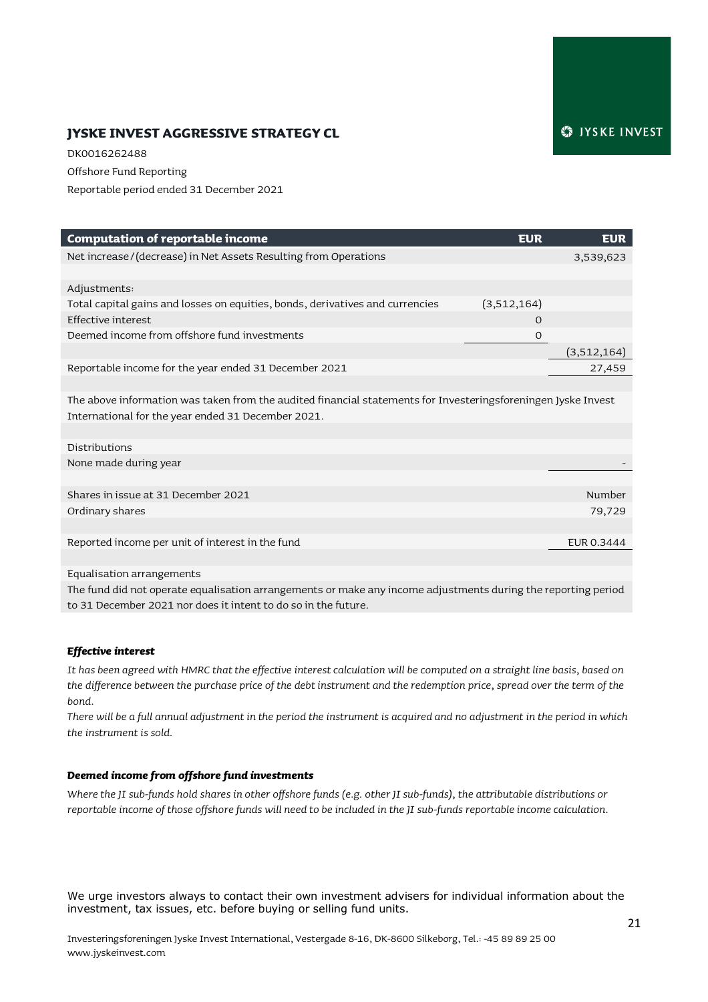# **JYSKE INVEST AGGRESSIVE STRATEGY CL**

DK0016262488 Offshore Fund Reporting Reportable period ended 31 December 2021

| <b>Computation of reportable income</b>                                                                       | <b>EUR</b>   | <b>EUR</b>  |
|---------------------------------------------------------------------------------------------------------------|--------------|-------------|
| Net increase/(decrease) in Net Assets Resulting from Operations                                               |              | 3,539,623   |
|                                                                                                               |              |             |
| Adjustments:                                                                                                  |              |             |
| Total capital gains and losses on equities, bonds, derivatives and currencies                                 | (3,512,164)  |             |
| Effective interest                                                                                            | $\Omega$     |             |
| Deemed income from offshore fund investments                                                                  | $\mathbf{O}$ |             |
|                                                                                                               |              | (3,512,164) |
| Reportable income for the year ended 31 December 2021                                                         |              | 27,459      |
|                                                                                                               |              |             |
| The above information was taken from the audited financial statements for Investeringsforeningen Jyske Invest |              |             |
| International for the year ended 31 December 2021.                                                            |              |             |
|                                                                                                               |              |             |
| Distributions                                                                                                 |              |             |
| None made during year                                                                                         |              |             |
|                                                                                                               |              |             |
| Shares in issue at 31 December 2021                                                                           |              | Number      |
| Ordinary shares                                                                                               |              | 79,729      |
|                                                                                                               |              |             |
| Reported income per unit of interest in the fund                                                              |              | EUR 0.3444  |
|                                                                                                               |              |             |
| Equalisation arrangements                                                                                     |              |             |

The fund did not operate equalisation arrangements or make any income adjustments during the reporting period to 31 December 2021 nor does it intent to do so in the future.

#### *Effective interest*

*It has been agreed with HMRC that the effective interest calculation will be computed on a straight line basis, based on the difference between the purchase price of the debt instrument and the redemption price, spread over the term of the bond.*

*There will be a full annual adjustment in the period the instrument is acquired and no adjustment in the period in which the instrument is sold.* 

#### *Deemed income from offshore fund investments*

*Where the JI sub-funds hold shares in other offshore funds (e.g. other JI sub-funds), the attributable distributions or reportable income of those offshore funds will need to be included in the JI sub-funds reportable income calculation.*